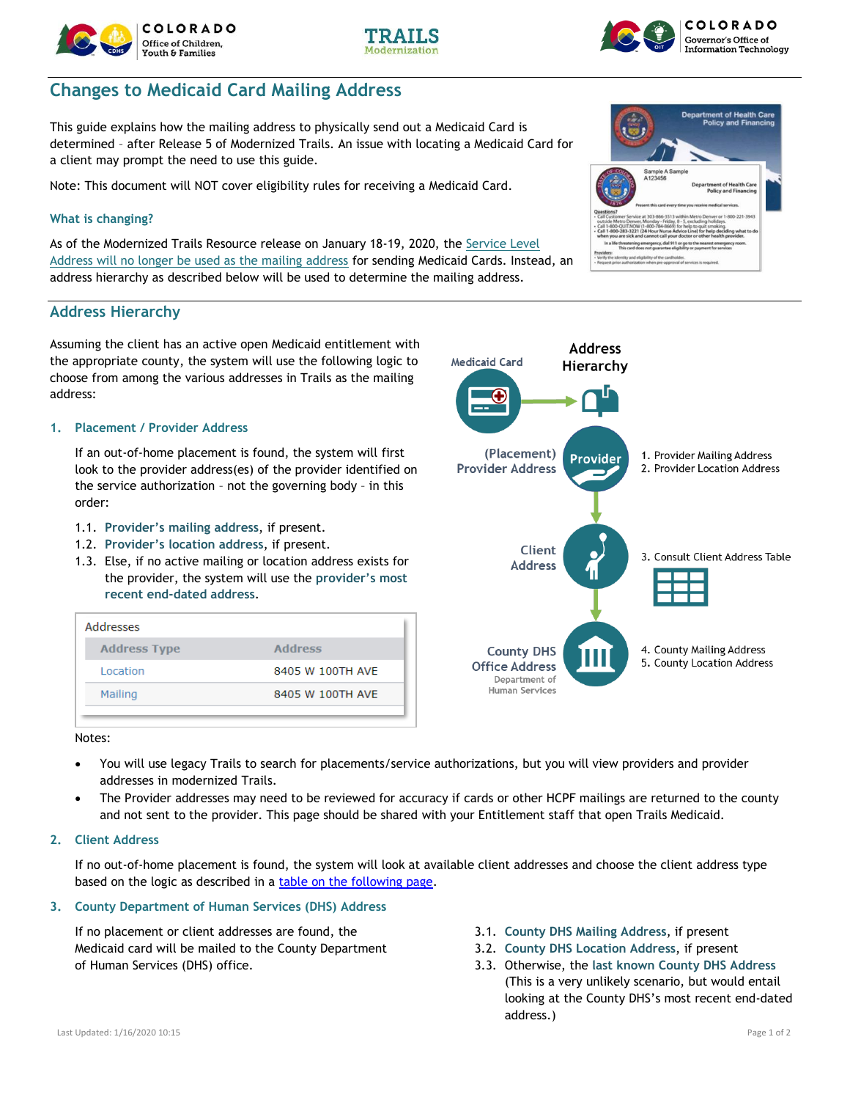# **Changes to Medicaid Card Mailing Address**

This guide explains how the mailing address to physically send out a Medicaid Card is determined – after Release 5 of Modernized Trails. An issue with locating a Medicaid Card for a client may prompt the need to use this guide.

Note: This document will NOT cover eligibility rules for receiving a Medicaid Card.

#### **What is changing?**

As of the Modernized Trails Resource release on January 18-19, 2020, the Service Level Address will no longer be used as the mailing address for sending Medicaid Cards. Instead, an address hierarchy as described below will be used to determine the mailing address.

### **Address Hierarchy**

Assuming the client has an active open Medicaid entitlement with the appropriate county, the system will use the following logic to choose from among the various addresses in Trails as the mailing address:

#### **1. Placement / Provider Address**

If an out-of-home placement is found, the system will first look to the provider address(es) of the provider identified on the service authorization – not the governing body – in this order:

- 1.1. **Provider's mailing address**, if present.
- 1.2. **Provider's location address**, if present.
- 1.3. Else, if no active mailing or location address exists for the provider, the system will use the **provider's most recent end-dated address**.

| Addresses           |                  |
|---------------------|------------------|
| <b>Address Type</b> | <b>Address</b>   |
| <b>Location</b>     | 8405 W 100TH AVE |
| Mailing             | 8405 W 100TH AVE |

Notes:

- You will use legacy Trails to search for placements/service authorizations, but you will view providers and provider addresses in modernized Trails.
- The Provider addresses may need to be reviewed for accuracy if cards or other HCPF mailings are returned to the county and not sent to the provider. This page should be shared with your Entitlement staff that open Trails Medicaid.
- **2. Client Address**

If no out-of-home placement is found, the system will look at available client addresses and choose the client address type based on the logic as described in a [table on the following page.](#page-1-0)

### **3. County Department of Human Services (DHS) Address**

If no placement or client addresses are found, the Medicaid card will be mailed to the County Department of Human Services (DHS) office.

- 3.1. **County DHS Mailing Address**, if present
- 3.2. **County DHS Location Address**, if present
- 3.3. Otherwise, the **last known County DHS Address** (This is a very unlikely scenario, but would entail looking at the County DHS's most recent end-dated address.)

# **Medicaid Card** Hierarchy (Placement) 1. Provider Mailing Address **Provider Provider Address** 2. Provider Location Address Client 3. Consult Client Address Table **Address** 4. County Mailing Address **County DHS** 5. County Location Address **Office Address** Department of Human Services

**Address** 









it of H